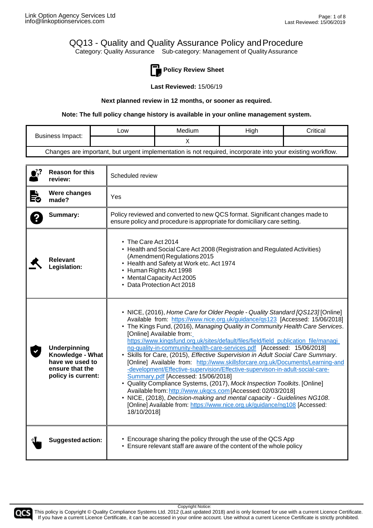### QQ13 - Quality and Quality Assurance Policy andProcedure Category: Quality Assurance Sub-category: Management of Quality Assurance



**Policy Review Sheet**

**Last Reviewed:** 15/06/19

#### **Next planned review in 12 months, or sooner as required.**

**Note: The full policy change history is available in your online management system.**

| Business Impact:                                                                                           | <b>LOW</b> | Medium | High | Critical |
|------------------------------------------------------------------------------------------------------------|------------|--------|------|----------|
|                                                                                                            |            |        |      |          |
| Changes are important, but urgent implementation is not required, incorporate into your existing workflow. |            |        |      |          |

| $\bullet$ ? | <b>Reason for this</b><br>review:                                                                   | Scheduled review                                                                                                                                                                                                                                                                                                                                                                                                                                                                                                                                                                                                                                                                                                                                                                                                                                                                                                                                                                                                                                               |  |
|-------------|-----------------------------------------------------------------------------------------------------|----------------------------------------------------------------------------------------------------------------------------------------------------------------------------------------------------------------------------------------------------------------------------------------------------------------------------------------------------------------------------------------------------------------------------------------------------------------------------------------------------------------------------------------------------------------------------------------------------------------------------------------------------------------------------------------------------------------------------------------------------------------------------------------------------------------------------------------------------------------------------------------------------------------------------------------------------------------------------------------------------------------------------------------------------------------|--|
| È.          | Were changes<br>made?                                                                               | Yes                                                                                                                                                                                                                                                                                                                                                                                                                                                                                                                                                                                                                                                                                                                                                                                                                                                                                                                                                                                                                                                            |  |
|             | Summary:                                                                                            | Policy reviewed and converted to new QCS format. Significant changes made to<br>ensure policy and procedure is appropriate for domiciliary care setting.                                                                                                                                                                                                                                                                                                                                                                                                                                                                                                                                                                                                                                                                                                                                                                                                                                                                                                       |  |
|             | Relevant<br>Legislation:                                                                            | • The Care Act 2014<br>• Health and Social Care Act 2008 (Registration and Regulated Activities)<br>(Amendment) Regulations 2015<br>• Health and Safety at Work etc. Act 1974<br>• Human Rights Act 1998<br>• Mental Capacity Act 2005<br>• Data Protection Act 2018                                                                                                                                                                                                                                                                                                                                                                                                                                                                                                                                                                                                                                                                                                                                                                                           |  |
|             | <b>Underpinning</b><br>Knowledge - What<br>have we used to<br>ensure that the<br>policy is current: | • NICE, (2016), Home Care for Older People - Quality Standard [QS123] [Online]<br>Available from: https://www.nice.org.uk/guidance/qs123 [Accessed: 15/06/2018]<br>• The Kings Fund, (2016), Managing Quality in Community Health Care Services.<br>[Online] Available from:<br>https://www.kingsfund.org.uk/sites/default/files/field/field_publication_file/managi<br>ng-quality-in-community-health-care-services.pdf [Accessed: 15/06/2018]<br>• Skills for Care, (2015), Effective Supervision in Adult Social Care Summary.<br>[Online] Available from: http://www.skillsforcare.org.uk/Documents/Learning-and<br>-development/Effective-supervision/Effective-supervison-in-adult-social-care-<br>Summary.pdf [Accessed: 15/06/2018]<br>• Quality Compliance Systems, (2017), Mock Inspection Toolkits. [Online]<br>Available from: http://www.ukgcs.com [Accessed: 02/03/2018]<br>• NICE, (2018), Decision-making and mental capacity - Guidelines NG108.<br>[Online] Available from: https://www.nice.org.uk/guidance/ng108 [Accessed:<br>18/10/2018] |  |
|             | Suggested action:                                                                                   | • Encourage sharing the policy through the use of the QCS App<br>• Ensure relevant staff are aware of the content of the whole policy                                                                                                                                                                                                                                                                                                                                                                                                                                                                                                                                                                                                                                                                                                                                                                                                                                                                                                                          |  |

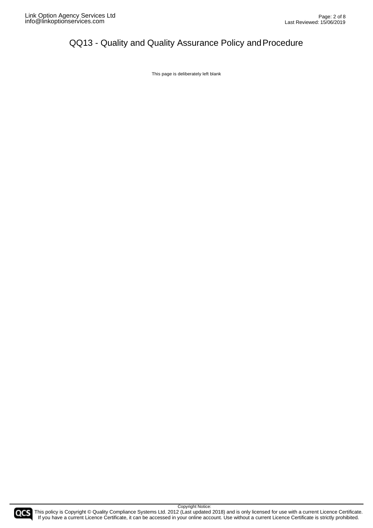This page is deliberately left blank



Copyright Notice: COCS This policy is Copyright © Quality Compliance Systems Ltd. 2012 (Last updated 2018) and is only licensed for use with a current Licence Certificate. If you have a current Licence Certificate, it can be accessed in your online account. Use without a current Licence Certificate is strictly prohibited.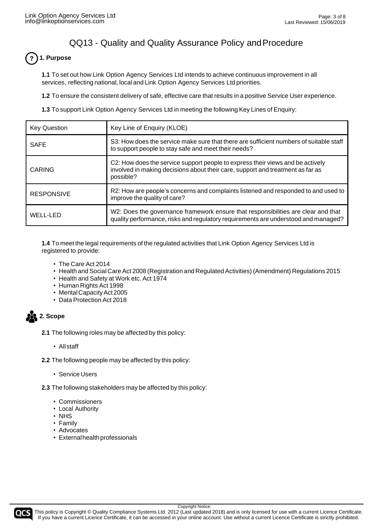#### **1. Purpose**  $\overline{\mathbf{?}}$

**1.1** To set out how Link Option Agency Services Ltd intends to achieve continuous improvement in all services, reflecting national, local and Link Option Agency Services Ltd priorities.

**1.2** To ensure the consistent delivery of safe, effective care that results in a positive Service User experience.

**1.3** To support Link Option Agency Services Ltd in meeting the following Key Lines of Enquiry:

| <b>Key Question</b> | Key Line of Enquiry (KLOE)                                                                                                                                                    |  |
|---------------------|-------------------------------------------------------------------------------------------------------------------------------------------------------------------------------|--|
| <b>SAFE</b>         | S3: How does the service make sure that there are sufficient numbers of suitable staff<br>to support people to stay safe and meet their needs?                                |  |
| <b>CARING</b>       | C2: How does the service support people to express their views and be actively<br>involved in making decisions about their care, support and treatment as far as<br>possible? |  |
| <b>RESPONSIVE</b>   | R2: How are people's concerns and complaints listened and responded to and used to<br>improve the quality of care?                                                            |  |
| <b>WELL-LED</b>     | W2: Does the governance framework ensure that responsibilities are clear and that<br>quality performance, risks and regulatory requirements are understood and managed?       |  |

**1.4** To meet the legal requirements of the regulated activities that Link Option Agency Services Ltd is registered to provide:

- The Care Act 2014
- Health and Social Care Act 2008 (Registration and Regulated Activities) (Amendment) Regulations 2015
- Health and Safety at Work etc. Act 1974
- Human Rights Act 1998
- Mental Capacity Act 2005
- Data Protection Act 2018

**252** 2. Scope

- **2.1** The following roles may be affected by this policy:
	- All staff
- **2.2** The following people may be affected by this policy:
	- Service Users

**2.3** The following stakeholders may be affected by this policy:

- Commissioners
- Local Authority
- NHS
- Family
- Advocates
- Externalhealthprofessionals

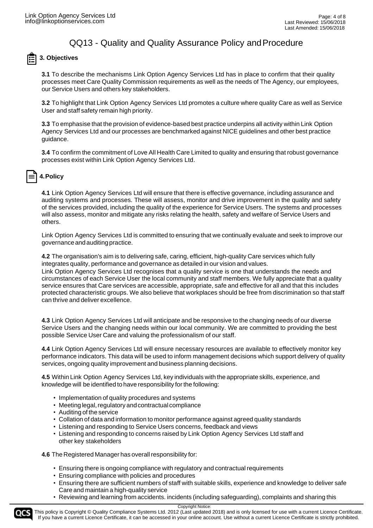

### **3. Objectives**

**3.1** To describe the mechanisms Link Option Agency Services Ltd has in place to confirm that their quality processes meet Care Quality Commission requirements as well as the needs of The Agency, our employees, our Service Users and others key stakeholders.

**3.2** To highlight that Link Option Agency Services Ltd promotes a culture where quality Care as well as Service User and staff safety remain high priority.

**3.3** To emphasise that the provision of evidence-based best practice underpins all activity within Link Option Agency Services Ltd and our processes are benchmarked against NICE guidelines and other best practice guidance.

**3.4** To confirm the commitment of Love All Health Care Limited to quality and ensuring that robust governance processes exist within Link Option Agency Services Ltd.

### **4.Policy**

**4.1** Link Option Agency Services Ltd will ensure that there is effective governance, including assurance and auditing systems and processes. These will assess, monitor and drive improvement in the quality and safety of the services provided, including the quality of the experience for Service Users. The systems and processes will also assess, monitor and mitigate any risks relating the health, safety and welfare of Service Users and others.

Link Option Agency Services Ltd is committed to ensuring that we continually evaluate and seek to improve our governanceandauditingpractice.

**4.2** The organisation's aim is to delivering safe, caring, efficient, high-quality Care services which fully integrates quality, performance and governance as detailed in our vision and values.

Link Option Agency Services Ltd recognises that a quality service is one that understands the needs and circumstances of each Service User the local community and staff members. We fully appreciate that a quality service ensures that Care services are accessible, appropriate, safe and effective for all and that this includes protected characteristic groups. We also believe that workplaces should be free from discrimination so that staff can thrive and deliver excellence.

**4.3** Link Option Agency Services Ltd will anticipate and be responsive to the changing needs of our diverse Service Users and the changing needs within our local community. We are committed to providing the best possible Service User Care and valuing the professionalism of our staff.

**4.4** Link Option Agency Services Ltd will ensure necessary resources are available to effectively monitor key performance indicators. This data will be used to inform management decisions which support delivery of quality services, ongoing quality improvement and business planning decisions.

**4.5** Within Link Option Agency Services Ltd, key individuals with the appropriate skills, experience, and knowledge will be identified to have responsibility forthe following:

- Implementation of quality procedures and systems
- Meeting legal, regulatory and contractual compliance
- Auditing of the service
- Collation of data and information to monitor performance against agreed quality standards
- Listening and responding to Service Users concerns, feedback and views
- Listening and responding to concerns raised by Link Option Agency Services Ltd staff and other key stakeholders

**4.6** The Registered Manager has overall responsibility for:

- Ensuring there is ongoing compliance with regulatory and contractual requirements
- Ensuring compliance with policies and procedures
- Ensuring there are sufficient numbers of staff with suitable skills, experience and knowledge to deliver safe Care and maintain a high-quality service
- Reviewing and learning from accidents. incidents (including safeguarding), complaints and sharing this



This policy is Copyright © Quality Compliance Systems Ltd. 2012 (Last updated 2018) and is only licensed for use with a current Licence Certificate. If you have a current Licence Certificate, it can be accessed in your online account. Use without a current Licence Certificate is strictly prohibited.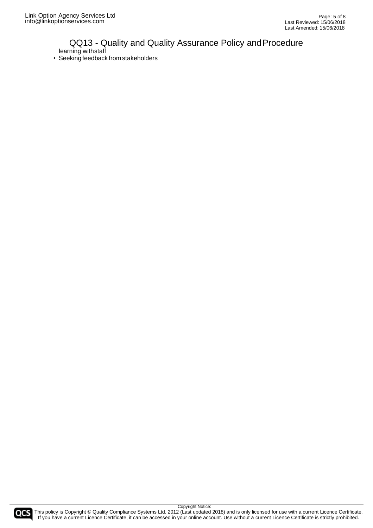### QQ13 - Quality and Quality Assurance Policy and Procedure learning withstaff

• Seeking feedback from stakeholders



COCS This policy is Copyright © Quality Compliance Systems Ltd. 2012 (Last updated 2018) and is only licensed for use with a current Licence Certificate. If you have a current Licence Certificate, it can be accessed in your online account. Use without a current Licence Certificate is strictly prohibited.

Copyright Notice: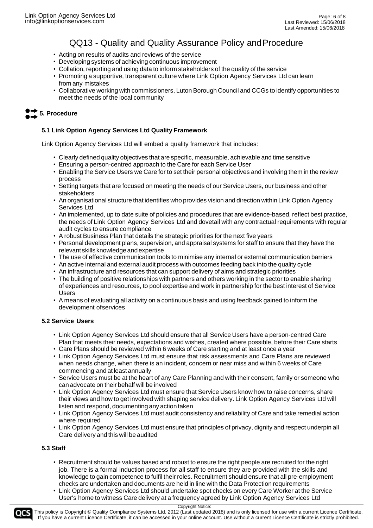- Acting on results of audits and reviews of the service
- Developing systems of achieving continuous improvement
- Collation, reporting and using data to inform stakeholders of the quality of the service
- Promoting a supportive, transparent culture where Link Option Agency Services Ltd can learn from any mistakes
- Collaborative working with commissioners, Luton Borough Council and CCGs to identify opportunities to meet the needs of the local community

## **5. Procedure**

#### **5.1 Link Option Agency Services Ltd Quality Framework**

Link Option Agency Services Ltd will embed a quality framework that includes:

- Clearly defined quality objectives that are specific, measurable, achievable and time sensitive
- Ensuring a person-centred approach to the Care for each Service User
- Enabling the Service Users we Care for to set their personal objectives and involving them in the review process
- Setting targets that are focused on meeting the needs of our Service Users, our business and other stakeholders
- An organisational structure that identifies who provides vision and direction within Link Option Agency Services Ltd
- An implemented, up to date suite of policies and procedures that are evidence-based, reflect best practice, the needs of Link Option Agency Services Ltd and dovetail with any contractual requirements with regular audit cycles to ensure compliance
- A robust Business Plan that details the strategic priorities for the next five years
- Personal development plans, supervision, and appraisal systems for staff to ensure that they have the relevant skills knowledge andexpertise
- The use of effective communication tools to minimise any internal or external communication barriers
- An active internal and external audit process with outcomes feeding back into the quality cycle
- An infrastructure and resources that can support delivery of aims and strategic priorities
- The building of positive relationships with partners and others working in the sector to enable sharing of experiences and resources, to pool expertise and work in partnership for the best interest of Service Users
- A means of evaluating all activity on a continuous basis and using feedback gained to inform the development ofservices

#### **5.2 Service Users**

- Link Option Agency Services Ltd should ensure that all Service Users have a person-centred Care Plan that meets their needs, expectations and wishes, created where possible, before their Care starts
- Care Plans should be reviewed within 6 weeks of Care starting and at least once a year
- Link Option Agency Services Ltd must ensure that risk assessments and Care Plans are reviewed when needs change, when there is an incident, concern or near miss and within 6 weeks of Care commencing and at least annually
- Service Users must be at the heart of any Care Planning and with their consent, family or someone who can advocate on their behalf will be involved
- Link Option Agency Services Ltd must ensure that Service Users know how to raise concerns, share their views and how to get involved with shaping service delivery. Link Option Agency Services Ltd will listen and respond, documenting any action taken
- Link Option Agency Services Ltd must audit consistency and reliability of Care and take remedial action where required
- Link Option Agency Services Ltd must ensure that principles of privacy, dignity and respect underpin all Care delivery and this will be audited

#### **5.3 Staff**

- Recruitment should be values based and robust to ensure the right people are recruited for the right job. There is a formal induction process for all staff to ensure they are provided with the skills and knowledge to gain competence to fulfil their roles. Recruitment should ensure that all pre-employment checks are undertaken and documents are held in line with the Data Protection requirements
- Link Option Agency Services Ltd should undertake spot checks on every Care Worker at the Service User's home to witness Care delivery at a frequency agreed by Link Option Agency Services Ltd

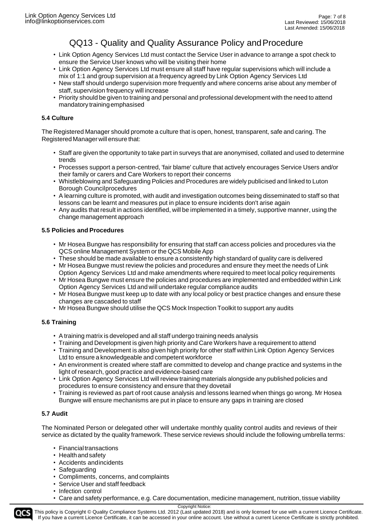- Link Option Agency Services Ltd must contact the Service User in advance to arrange a spot check to ensure the Service User knows who will be visiting their home
- Link Option Agency Services Ltd must ensure all staff have regular supervisions which will include a mix of 1:1 and group supervision at a frequency agreed by Link Option Agency Services Ltd
- New staff should undergo supervision more frequently and where concerns arise about any member of staff, supervision frequency will increase
- Priority should be given to training and personal and professional development with the need to attend mandatory trainingemphasised

#### **5.4 Culture**

The Registered Manager should promote a culture that is open, honest, transparent, safe and caring. The Registered Manager will ensure that:

- Staff are given the opportunity to take part in surveys that are anonymised, collated and used to determine trends
- Processes support a person-centred, 'fair blame' culture that actively encourages Service Users and/or their family or carers and Care Workers to report their concerns
- Whistleblowing and Safeguarding Policies and Procedures are widely publicised and linked to Luton Borough Councilprocedures
- A learning culture is promoted, with audit and investigation outcomes being disseminated to staff so that lessons can be learnt and measures put in place to ensure incidents don't arise again
- Any audits that result in actions identified, will be implemented in a timely, supportive manner, using the change management approach

#### **5.5 Policies and Procedures**

- Mr Hosea Bungwe has responsibility for ensuring that staff can access policies and procedures via the QCS online Management System or the QCS Mobile App
- These should be made available to ensure a consistently high standard of quality care is delivered
- Mr Hosea Bungwe must review the policies and procedures and ensure they meet the needs of Link Option Agency Services Ltd and make amendments where required to meet local policy requirements
- Mr Hosea Bungwe must ensure the policies and procedures are implemented and embedded within Link Option Agency Services Ltd and will undertake regular compliance audits
- Mr Hosea Bungwe must keep up to date with any local policy or best practice changes and ensure these changes are cascaded to staff
- Mr Hosea Bungwe should utilise the QCS Mock Inspection Toolkit to support any audits

#### **5.6 Training**

- A training matrix is developed and all staff undergo training needs analysis
- Training and Development is given high priority and Care Workers have a requirement to attend
- Training and Development is also given high priority for other staff within Link Option Agency Services Ltd to ensure a knowledgeable and competent workforce
- An environment is created where staff are committed to develop and change practice and systems in the light of research, good practice and evidence-based care
- Link Option Agency Services Ltd will review training materials alongside any published policies and procedures to ensure consistency and ensure that they dovetail
- Training is reviewed as part of root cause analysis and lessons learned when things go wrong. Mr Hosea Bungwe will ensure mechanisms are put in place to ensure any gaps in training are closed

#### **5.7 Audit**

The Nominated Person or delegated other will undertake monthly quality control audits and reviews of their service as dictated by the quality framework. These service reviews should include the following umbrella terms:

- Financialtransactions
- Health and safety
- Accidents andincidents
- Safeguarding
- Compliments, concerns, and complaints
- Service User and staff feedback
- Infection control
- Care and safety performance, e.g. Care documentation, medicine management, nutrition, tissue viability

Copyright Notice: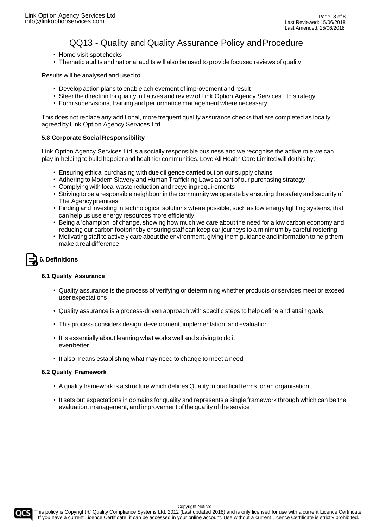- Home visit spot checks
- Thematic audits and national audits will also be used to provide focused reviews of quality

Results will be analysed and used to:

- Develop action plans to enable achievement of improvement and result
- Steer the direction for quality initiatives and review of Link Option Agency Services Ltd strategy
- Form supervisions, training and performance management where necessary

This does not replace any additional, more frequent quality assurance checks that are completed as locally agreed by Link Option Agency Services Ltd.

#### **5.8 Corporate Social Responsibility**

Link Option Agency Services Ltd is a socially responsible business and we recognise the active role we can play in helping to build happier and healthier communities. Love All Health Care Limited will do this by:

- Ensuring ethical purchasing with due diligence carried out on our supply chains
- Adhering to Modern Slavery and Human Trafficking Laws as part of our purchasing strategy
- Complying with local waste reduction and recycling requirements
- Striving to be a responsible neighbour in the community we operate by ensuring the safety and security of The Agencypremises
- Finding and investing in technological solutions where possible, such as low energy lighting systems, that can help us use energy resources more efficiently
- Being a 'champion' of change, showing how much we care about the need for a low carbon economy and reducing our carbon footprint by ensuring staff can keep car journeys to a minimum by careful rostering
- Motivating staff to actively care about the environment, giving them guidance and information to help them make a real difference

# **6. Definitions**

#### **6.1 Quality Assurance**

- Quality assurance is the process of verifying or determining whether products or services meet or exceed userexpectations
- Quality assurance is a process-driven approach with specific steps to help define and attain goals
- This process considers design, development, implementation, and evaluation
- It is essentially about learning what works well and striving to do it evenbetter
- It also means establishing what may need to change to meet a need

#### **6.2 Quality Framework**

- A quality framework is a structure which defines Quality in practical terms for an organisation
- It sets out expectations in domains for quality and represents a single framework through which can be the evaluation, management, and improvement of the quality of the service



This policy is Copyright © Quality Compliance Systems Ltd. 2012 (Last updated 2018) and is only licensed for use with a current Licence Certificate. If you have a current Licence Certificate, it can be accessed in your online account. Use without a current Licence Certificate is strictly prohibited.